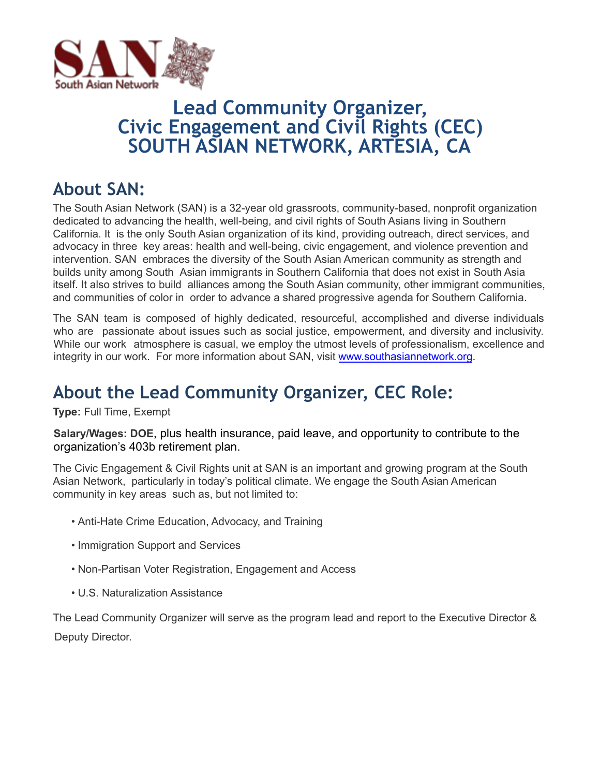

# **Lead Community Organizer, Civic Engagement and Civil Rights (CEC) SOUTH ASIAN NETWORK, ARTESIA, CA**

## **About SAN:**

The South Asian Network (SAN) is a 32-year old grassroots, community-based, nonprofit organization dedicated to advancing the health, well-being, and civil rights of South Asians living in Southern California. It is the only South Asian organization of its kind, providing outreach, direct services, and advocacy in three key areas: health and well-being, civic engagement, and violence prevention and intervention. SAN embraces the diversity of the South Asian American community as strength and builds unity among South Asian immigrants in Southern California that does not exist in South Asia itself. It also strives to build alliances among the South Asian community, other immigrant communities, and communities of color in order to advance a shared progressive agenda for Southern California.

The SAN team is composed of highly dedicated, resourceful, accomplished and diverse individuals who are passionate about issues such as social justice, empowerment, and diversity and inclusivity. While our work atmosphere is casual, we employ the utmost levels of professionalism, excellence and integrity in our work. For more information about SAN, visit www.southasiannetwork.org.

# **About the Lead Community Organizer, CEC Role:**

**Type:** Full Time, Exempt

**Salary/Wages: DOE**, plus health insurance, paid leave, and opportunity to contribute to the organization's 403b retirement plan.

The Civic Engagement & Civil Rights unit at SAN is an important and growing program at the South Asian Network, particularly in today's political climate. We engage the South Asian American community in key areas such as, but not limited to:

- Anti-Hate Crime Education, Advocacy, and Training
- Immigration Support and Services
- Non-Partisan Voter Registration, Engagement and Access
- U.S. Naturalization Assistance

The Lead Community Organizer will serve as the program lead and report to the Executive Director & Deputy Director.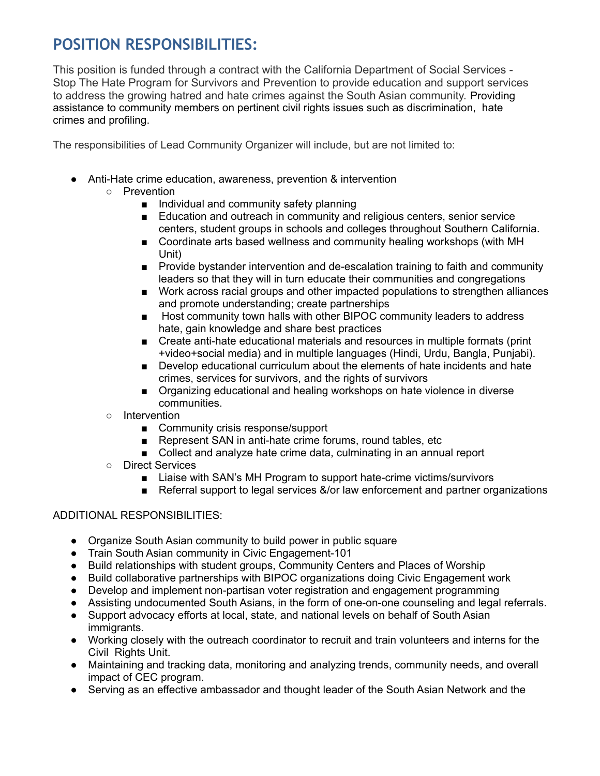### **POSITION RESPONSIBILITIES:**

This position is funded through a contract with the California Department of Social Services - Stop The Hate Program for Survivors and Prevention to provide education and support services to address the growing hatred and hate crimes against the South Asian community. Providing assistance to community members on pertinent civil rights issues such as discrimination, hate crimes and profiling.

The responsibilities of Lead Community Organizer will include, but are not limited to:

- Anti-Hate crime education, awareness, prevention & intervention
	- Prevention
		- Individual and community safety planning
		- Education and outreach in community and religious centers, senior service centers, student groups in schools and colleges throughout Southern California.
		- Coordinate arts based wellness and community healing workshops (with MH Unit)
		- Provide bystander intervention and de-escalation training to faith and community leaders so that they will in turn educate their communities and congregations
		- Work across racial groups and other impacted populations to strengthen alliances and promote understanding; create partnerships
		- Host community town halls with other BIPOC community leaders to address hate, gain knowledge and share best practices
		- Create anti-hate educational materials and resources in multiple formats (print +video+social media) and in multiple languages (Hindi, Urdu, Bangla, Punjabi).
		- Develop educational curriculum about the elements of hate incidents and hate crimes, services for survivors, and the rights of survivors
		- Organizing educational and healing workshops on hate violence in diverse communities.
	- Intervention
		- Community crisis response/support
		- Represent SAN in anti-hate crime forums, round tables, etc
		- Collect and analyze hate crime data, culminating in an annual report
	- Direct Services
		- Liaise with SAN's MH Program to support hate-crime victims/survivors
		- Referral support to legal services &/or law enforcement and partner organizations

#### ADDITIONAL RESPONSIBILITIES:

- Organize South Asian community to build power in public square
- Train South Asian community in Civic Engagement-101
- Build relationships with student groups, Community Centers and Places of Worship
- Build collaborative partnerships with BIPOC organizations doing Civic Engagement work
- Develop and implement non-partisan voter registration and engagement programming
- Assisting undocumented South Asians, in the form of one-on-one counseling and legal referrals.
- Support advocacy efforts at local, state, and national levels on behalf of South Asian immigrants.
- Working closely with the outreach coordinator to recruit and train volunteers and interns for the Civil Rights Unit.
- Maintaining and tracking data, monitoring and analyzing trends, community needs, and overall impact of CEC program.
- Serving as an effective ambassador and thought leader of the South Asian Network and the